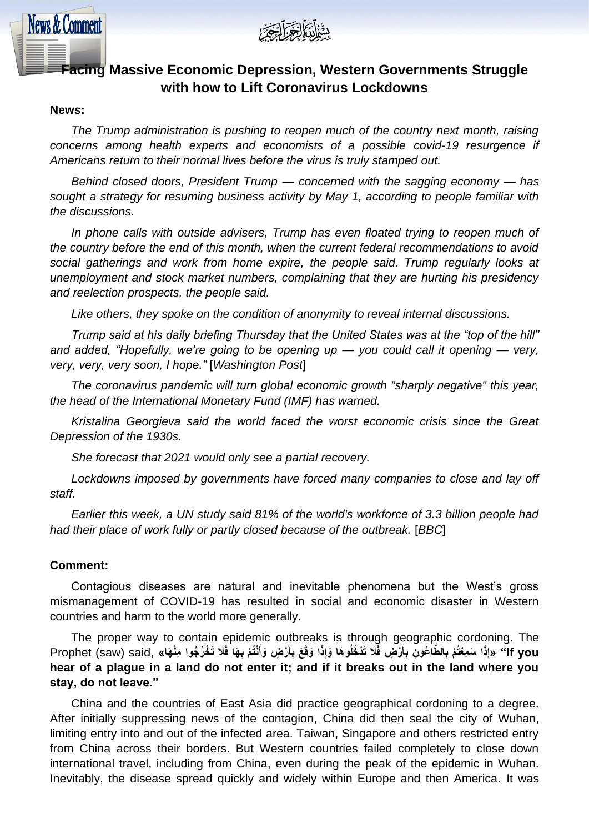

# **Facing Massive Economic Depression, Western Governments Struggle with how to Lift Coronavirus Lockdowns**

### **News:**

**News & Comment** 

*The Trump administration is pushing to reopen much of the country next month, raising*  concerns among health experts and economists of a possible covid-19 resurgence if *Americans return to their normal lives before the virus is truly stamped out.*

*Behind closed doors, President Trump — concerned with the sagging economy — has sought a strategy for resuming business activity by May 1, according to people familiar with the discussions.*

In phone calls with outside advisers. Trump has even floated trying to reopen much of *the country before the end of this month, when the current federal recommendations to avoid social gatherings and work from home expire, the people said. Trump regularly looks at unemployment and stock market numbers, complaining that they are hurting his presidency and reelection prospects, the people said.*

*Like others, they spoke on the condition of anonymity to reveal internal discussions.*

*Trump said at his daily briefing Thursday that the United States was at the "top of the hill" and added, "Hopefully, we're going to be opening up — you could call it opening — very, very, very, very soon, I hope."* [*Washington Post*]

*The coronavirus pandemic will turn global economic growth "sharply negative" this year, the head of the International Monetary Fund (IMF) has warned.*

*Kristalina Georgieva said the world faced the worst economic crisis since the Great Depression of the 1930s.*

*She forecast that 2021 would only see a partial recovery.*

Lockdowns imposed by governments have forced many companies to close and lay off *staff.*

*Earlier this week, a UN study said 81% of the world's workforce of 3.3 billion people had had their place of work fully or partly closed because of the outbreak.* [*BBC*]

### **Comment:**

Contagious diseases are natural and inevitable phenomena but the West's gross mismanagement of COVID-19 has resulted in social and economic disaster in Western countries and harm to the world more generally.

The proper way to contain epidemic outbreaks is through geographic cordoning. The f you'' «إِذَا سَمِعْتُمْ بِالطَّاعُونِ بِأَرْضٍ فَلَا تَدْخُلُوهَا وَإِذَا وَقَعَ بِأَرْضٍ وَأَنْتُمْ بِهَا فَلَا تَخْرُجُوا مِنْهَا» ,Prophet (saw) said **ِ َ َ ِ َ ِ ِ hear of a plague in a land do not enter it; and if it breaks out in the land where you stay, do not leave."**

China and the countries of East Asia did practice geographical cordoning to a degree. After initially suppressing news of the contagion, China did then seal the city of Wuhan, limiting entry into and out of the infected area. Taiwan, Singapore and others restricted entry from China across their borders. But Western countries failed completely to close down international travel, including from China, even during the peak of the epidemic in Wuhan. Inevitably, the disease spread quickly and widely within Europe and then America. It was